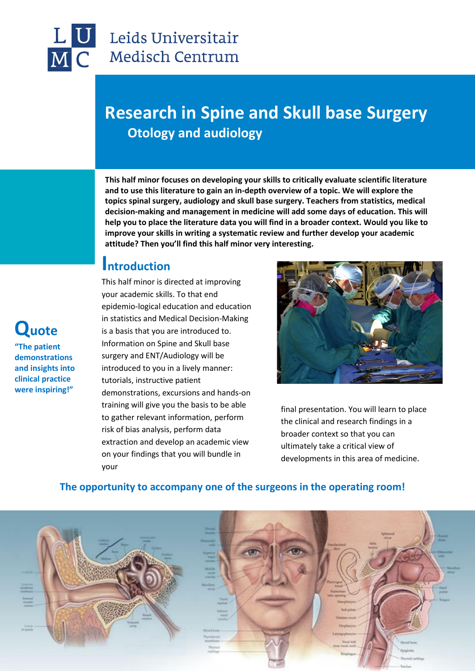

**Quote** 

**"The patient demonstrations and insights into clinical practice were inspiring!"**

### Leids Universitair **Medisch Centrum**

# **Research in Spine and Skull base Surgery Otology and audiology**

**This half minor focuses on developing your skills to critically evaluate scientific literature and to use this literature to gain an in-depth overview of a topic. We will explore the topics spinal surgery, audiology and skull base surgery. Teachers from statistics, medical decision-making and management in medicine will add some days of education. This will help you to place the literature data you will find in a broader context. Would you like to improve your skills in writing a systematic review and further develop your academic attitude? Then you'll find this half minor very interesting.**

#### **Introduction**

This half minor is directed at improving your academic skills. To that end epidemio-logical education and education in statistics and Medical Decision-Making is a basis that you are introduced to. Information on Spine and Skull base surgery and ENT/Audiology will be introduced to you in a lively manner: tutorials, instructive patient demonstrations, excursions and hands-on training will give you the basis to be able to gather relevant information, perform risk of bias analysis, perform data extraction and develop an academic view on your findings that you will bundle in your



final presentation. You will learn to place the clinical and research findings in a broader context so that you can ultimately take a critical view of developments in this area of medicine.



#### **The opportunity to accompany one of the surgeons in the operating room!**